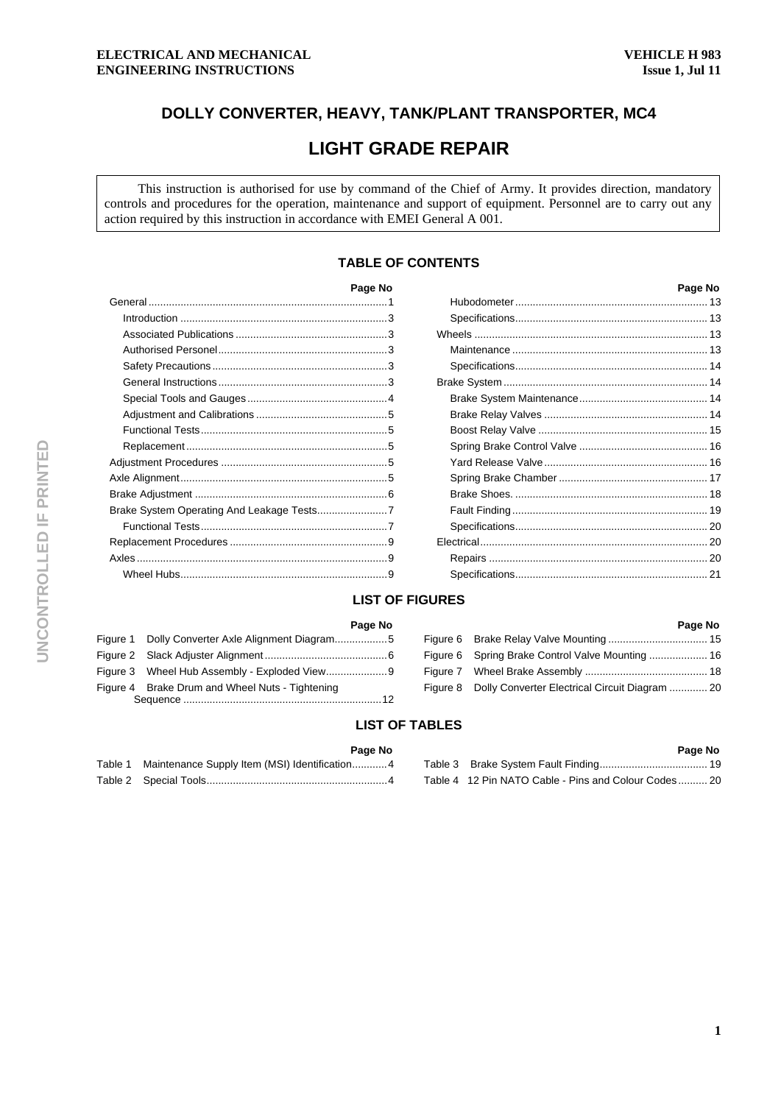# **DOLLY CONVERTER, HEAVY, TANK/PLANT TRANSPORTER, MC4**

# **LIGHT GRADE REPAIR**

This instruction is authorised for use by command of the Chief of Army. It provides direction, mandatory controls and procedures for the operation, maintenance and support of equipment. Personnel are to carry out any action required by this instruction in accordance with EMEI General A 001.

### **TABLE OF CONTENTS**

| Brake System Operating And Leakage Tests7 |  |
|-------------------------------------------|--|
|                                           |  |
|                                           |  |
|                                           |  |
|                                           |  |
|                                           |  |

| Page No | Page No |
|---------|---------|
| . 1     |         |
| . 3     |         |
| . 3     |         |
| . 3     |         |
| 3       |         |
| . 3     |         |
| . 4     |         |
| . 5     |         |
| . 5     |         |
| . 5     |         |
| . 5     |         |
| . 5     |         |
| . 6     |         |
| . 7     |         |
| . 7     |         |
| . 9     |         |
| . 9     |         |
| . 9     |         |

#### **LIST OF FIGURES**

|  | Figure 1 Dolly Converter Axle Alignment Diagram5 |  |
|--|--------------------------------------------------|--|
|  |                                                  |  |
|  |                                                  |  |
|  | Figure 4 Brake Drum and Wheel Nuts - Tightening  |  |
|  |                                                  |  |

| Page No |                                                         | Page No |
|---------|---------------------------------------------------------|---------|
| . 5     |                                                         |         |
| . 6     |                                                         |         |
| . 9     |                                                         |         |
|         | Figure 8 Dolly Converter Electrical Circuit Diagram  20 |         |

### **LIST OF TABLES**

#### **Page No Page No**

| Table 1 Maintenance Supply Item (MSI) Identification4 |  |
|-------------------------------------------------------|--|
|                                                       |  |

|                                                      | Page No |
|------------------------------------------------------|---------|
|                                                      |         |
| Table 4 12 Pin NATO Cable - Pins and Colour Codes 20 |         |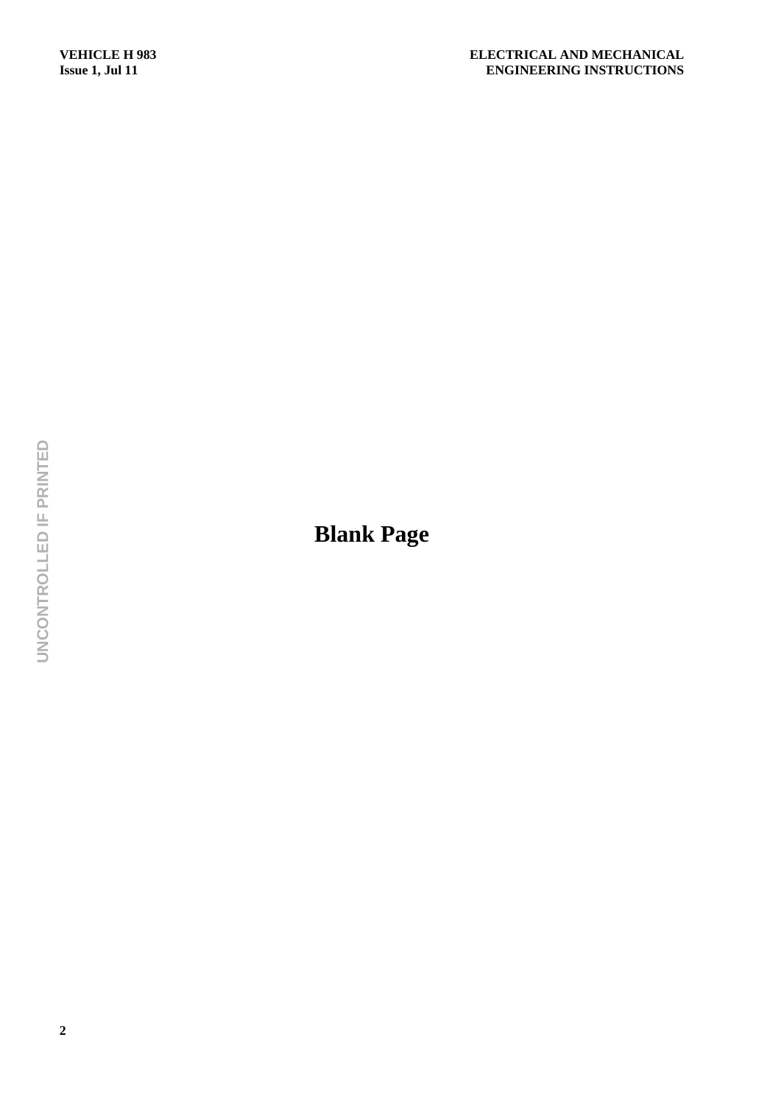# **Blank Page**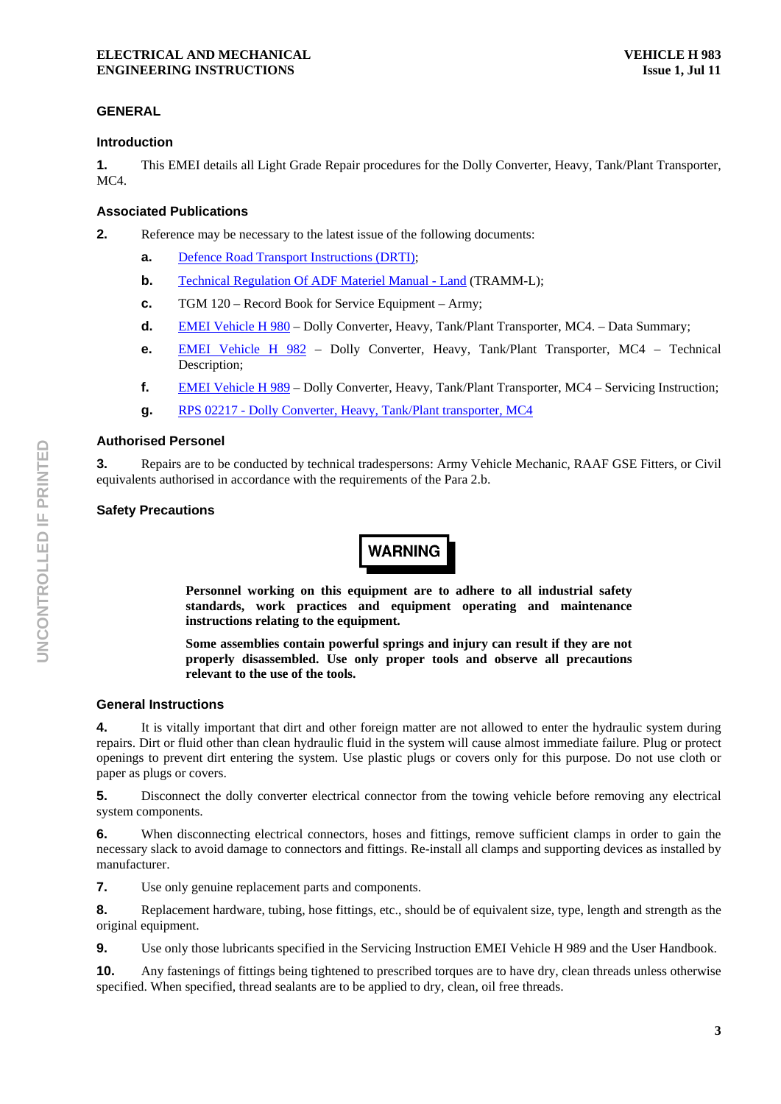#### **GENERAL**

#### **Introduction**

**1.** This EMEI details all Light Grade Repair procedures for the Dolly Converter, Heavy, Tank/Plant Transporter, MC<sub>4</sub>.

#### **Associated Publications**

**2.** Reference may be necessary to the latest issue of the following documents:

- **a.** Defence Road Transport Instructions (DRTI);
- **b. Technical Regulation Of ADF Materiel Manual Land (TRAMM-L);**
- **c.** TGM 120 Record Book for Service Equipment Army;
- **d.** EMEI Vehicle H 980 Dolly Converter, Heavy, Tank/Plant Transporter, MC4. Data Summary;
- **e.** EMEI Vehicle H 982 Dolly Converter, Heavy, Tank/Plant Transporter, MC4 Technical Description;
- **f. EMEI Vehicle H 989 Dolly Converter, Heavy, Tank/Plant Transporter, MC4 Servicing Instruction;**
- **g.** RPS 02217 Dolly Converter, Heavy, Tank/Plant transporter, MC4

#### **Authorised Personel**

**3.** Repairs are to be conducted by technical tradespersons: Army Vehicle Mechanic, RAAF GSE Fitters, or Civil equivalents authorised in accordance with the requirements of the Para 2.b.

#### **Safety Precautions**

**WARNING** 

**Personnel working on this equipment are to adhere to all industrial safety standards, work practices and equipment operating and maintenance instructions relating to the equipment.** 

**Some assemblies contain powerful springs and injury can result if they are not properly disassembled. Use only proper tools and observe all precautions relevant to the use of the tools.** 

#### **General Instructions**

**4.** It is vitally important that dirt and other foreign matter are not allowed to enter the hydraulic system during repairs. Dirt or fluid other than clean hydraulic fluid in the system will cause almost immediate failure. Plug or protect openings to prevent dirt entering the system. Use plastic plugs or covers only for this purpose. Do not use cloth or paper as plugs or covers.

**5.** Disconnect the dolly converter electrical connector from the towing vehicle before removing any electrical system components.

**6.** When disconnecting electrical connectors, hoses and fittings, remove sufficient clamps in order to gain the necessary slack to avoid damage to connectors and fittings. Re-install all clamps and supporting devices as installed by manufacturer.

**7.** Use only genuine replacement parts and components.

**8.** Replacement hardware, tubing, hose fittings, etc., should be of equivalent size, type, length and strength as the original equipment.

**9.** Use only those lubricants specified in the Servicing Instruction EMEI Vehicle H 989 and the User Handbook.

**10.** Any fastenings of fittings being tightened to prescribed torques are to have dry, clean threads unless otherwise specified. When specified, thread sealants are to be applied to dry, clean, oil free threads.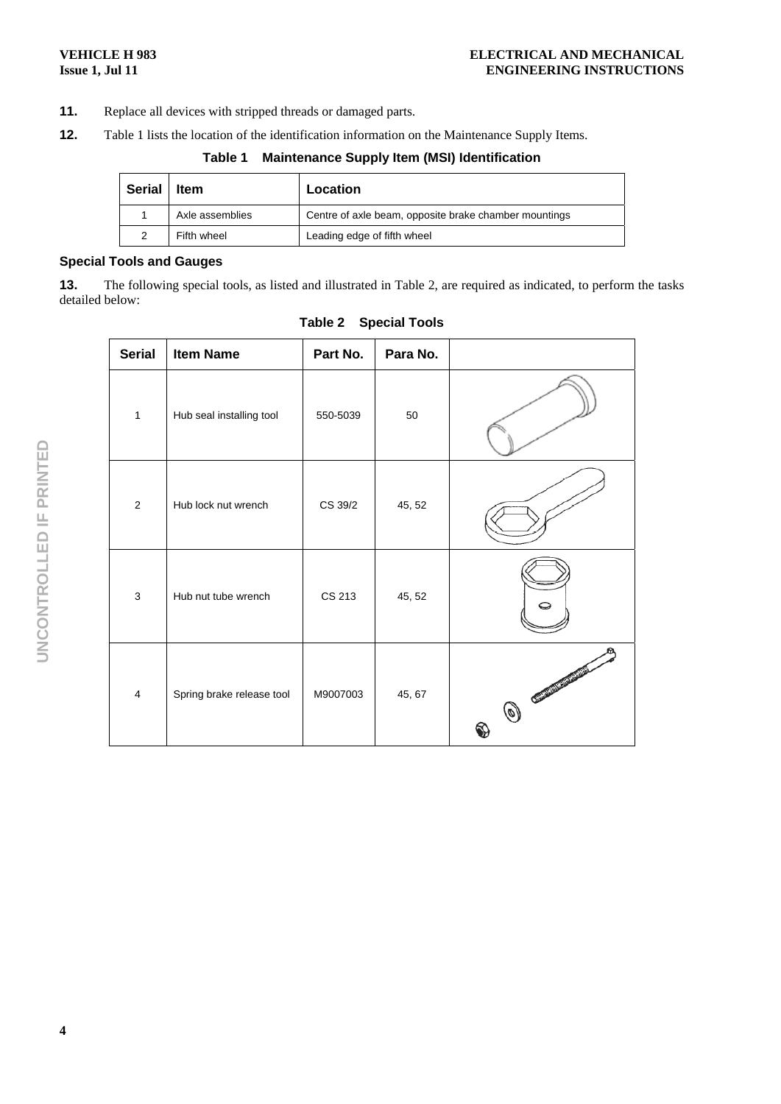#### **VEHICLE H 983 Issue 1, Jul 11**

- **11.** Replace all devices with stripped threads or damaged parts.
- **12.** Table 1 lists the location of the identification information on the Maintenance Supply Items.

**Table 1 Maintenance Supply Item (MSI) Identification** 

| <b>Serial</b> | <b>Item</b>                                | Location                                              |
|---------------|--------------------------------------------|-------------------------------------------------------|
|               | Axle assemblies                            | Centre of axle beam, opposite brake chamber mountings |
| $\mathcal{P}$ | Leading edge of fifth wheel<br>Fifth wheel |                                                       |

#### **Special Tools and Gauges**

**13.** The following special tools, as listed and illustrated in Table 2, are required as indicated, to perform the tasks detailed below:

| <b>Serial</b>  | <b>Item Name</b>          | Part No. | Para No. |                                                                                               |
|----------------|---------------------------|----------|----------|-----------------------------------------------------------------------------------------------|
| $\mathbf{1}$   | Hub seal installing tool  | 550-5039 | 50       |                                                                                               |
| 2              | Hub lock nut wrench       | CS 39/2  | 45, 52   |                                                                                               |
| $\mathsf 3$    | Hub nut tube wrench       | CS 213   | 45, 52   |                                                                                               |
| $\overline{4}$ | Spring brake release tool | M9007003 | 45, 67   | <b>Complete Automobile Automobile Complete Automobile Complete Automobile Complete</b><br>(o) |

| Table 2<br><b>Special Tools</b> |
|---------------------------------|
|---------------------------------|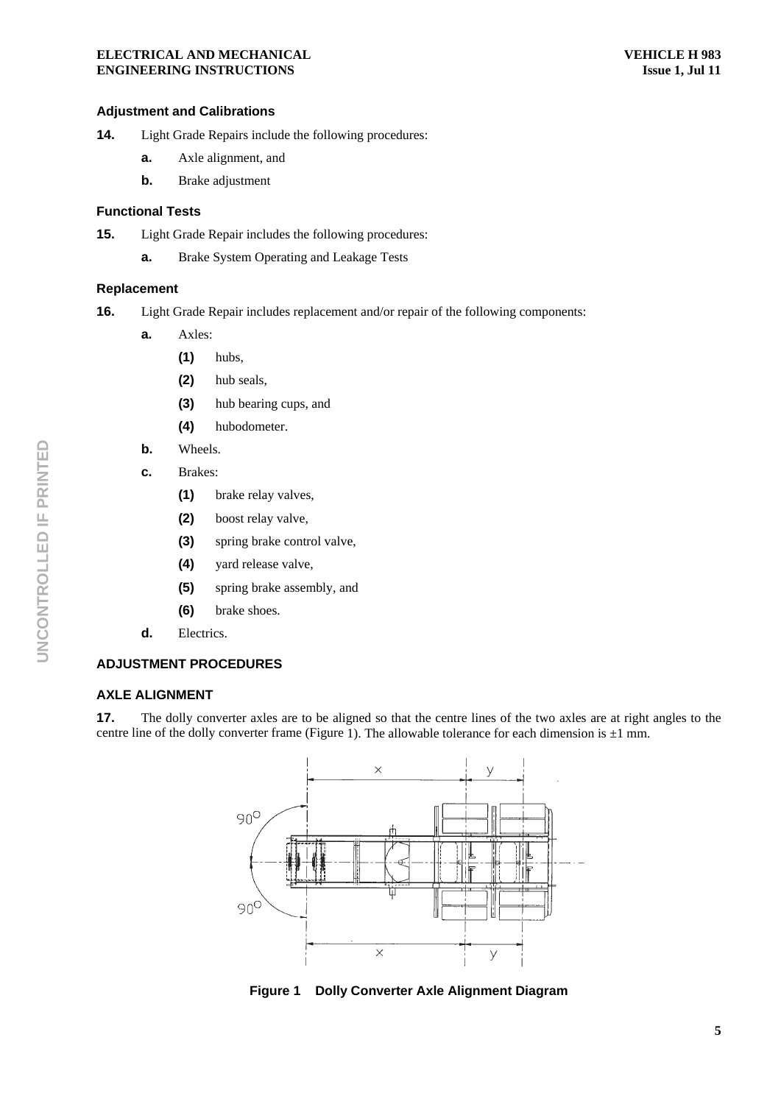#### **Adjustment and Calibrations**

- **14.** Light Grade Repairs include the following procedures:
	- **a.** Axle alignment, and
	- **b.** Brake adjustment

#### **Functional Tests**

- **15.** Light Grade Repair includes the following procedures:
	- **a.** Brake System Operating and Leakage Tests

#### **Replacement**

- **16.** Light Grade Repair includes replacement and/or repair of the following components:
	- **a.** Axles:
		- **(1)** hubs,
		- **(2)** hub seals,
		- **(3)** hub bearing cups, and
		- **(4)** hubodometer.
	- **b.** Wheels.
	- **c.** Brakes:
		- **(1)** brake relay valves,
		- **(2)** boost relay valve,
		- **(3)** spring brake control valve,
		- **(4)** yard release valve,
		- **(5)** spring brake assembly, and
		- **(6)** brake shoes.
	- **d.** Electrics.

#### **ADJUSTMENT PROCEDURES**

#### **AXLE ALIGNMENT**

**17.** The dolly converter axles are to be aligned so that the centre lines of the two axles are at right angles to the centre line of the dolly converter frame (Figure 1). The allowable tolerance for each dimension is  $\pm 1$  mm.



**Figure 1 Dolly Converter Axle Alignment Diagram**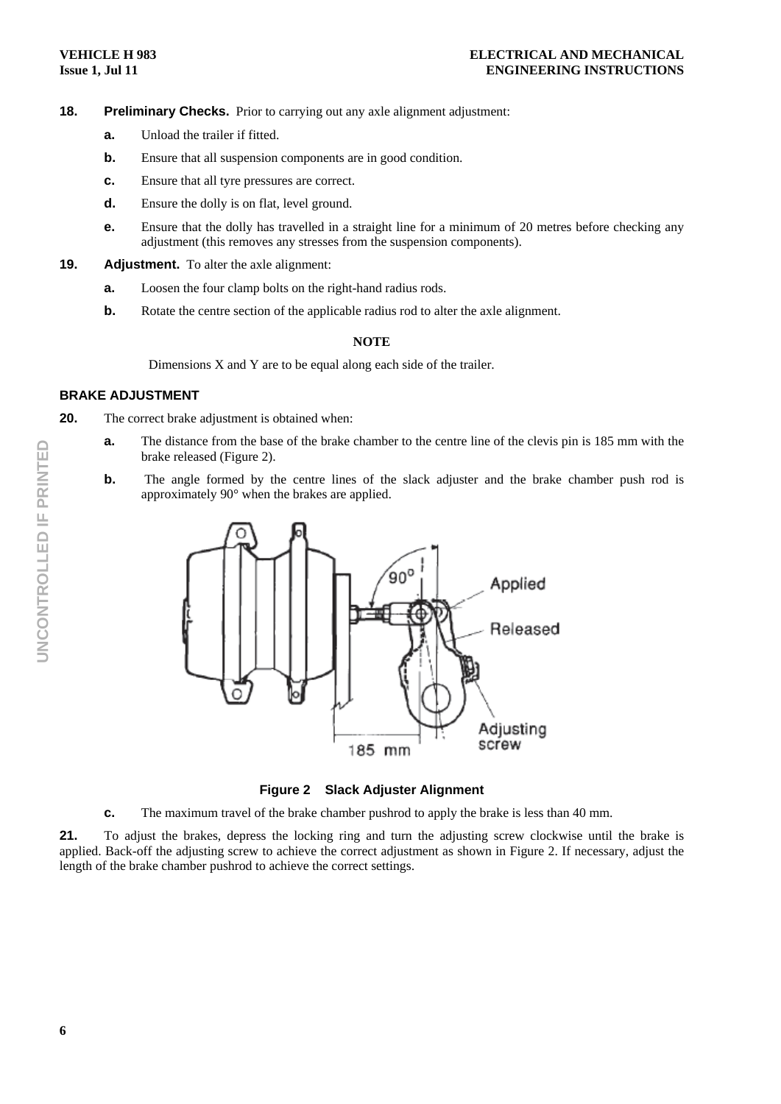#### **18.** Preliminary Checks. Prior to carrying out any axle alignment adjustment:

- **a.** Unload the trailer if fitted.
- **b.** Ensure that all suspension components are in good condition.
- **c.** Ensure that all tyre pressures are correct.
- **d.** Ensure the dolly is on flat, level ground.
- **e.** Ensure that the dolly has travelled in a straight line for a minimum of 20 metres before checking any adjustment (this removes any stresses from the suspension components).
- **19.** Adjustment. To alter the axle alignment:
	- **a.** Loosen the four clamp bolts on the right-hand radius rods.
	- **b.** Rotate the centre section of the applicable radius rod to alter the axle alignment.

#### **NOTE**

Dimensions  $X$  and  $Y$  are to be equal along each side of the trailer.

#### **BRAKE ADJUSTMENT**

- **20.** The correct brake adjustment is obtained when:
	- **a.** The distance from the base of the brake chamber to the centre line of the clevis pin is 185 mm with the brake released (Figure 2).
	- **b.** The angle formed by the centre lines of the slack adjuster and the brake chamber push rod is approximately 90° when the brakes are applied.



**Figure 2 Slack Adjuster Alignment** 

**c.** The maximum travel of the brake chamber pushrod to apply the brake is less than 40 mm.

**21.** To adjust the brakes, depress the locking ring and turn the adjusting screw clockwise until the brake is applied. Back-off the adjusting screw to achieve the correct adjustment as shown in Figure 2. If necessary, adjust the length of the brake chamber pushrod to achieve the correct settings.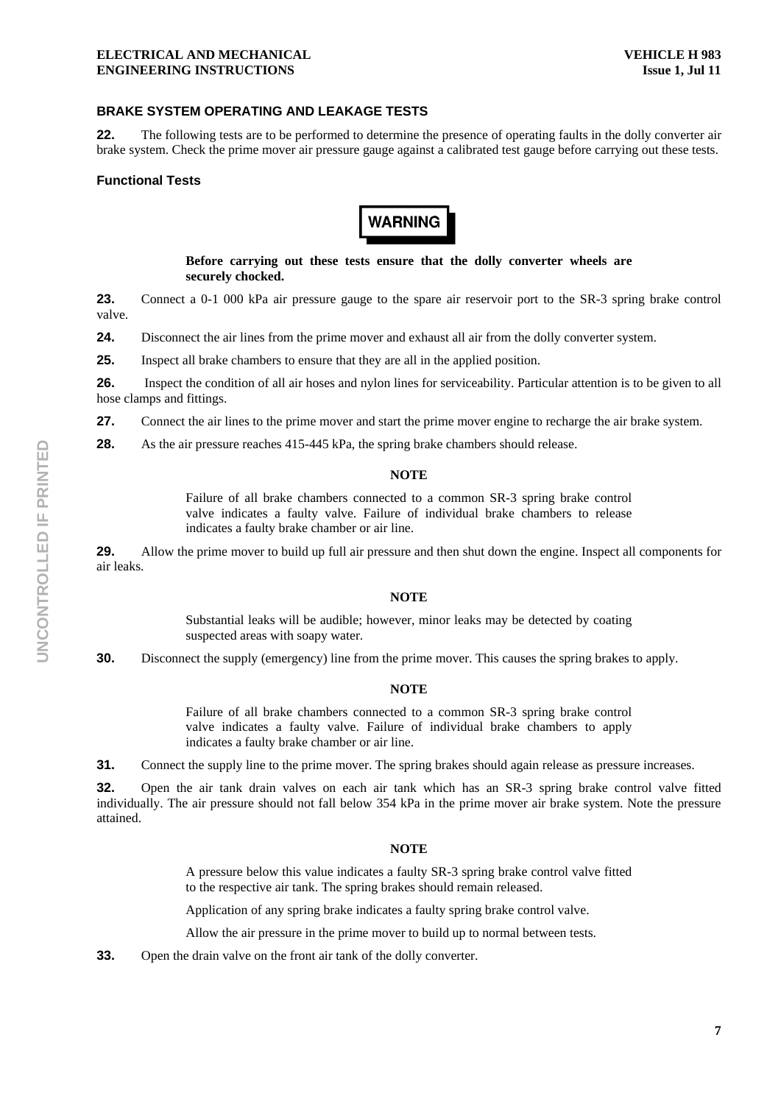#### **ELECTRICAL AND MECHANICAL ENGINEERING INSTRUCTIONS**

#### **BRAKE SYSTEM OPERATING AND LEAKAGE TESTS**

**22.** The following tests are to be performed to determine the presence of operating faults in the dolly converter air brake system. Check the prime mover air pressure gauge against a calibrated test gauge before carrying out these tests.

#### **Functional Tests**



#### **Before carrying out these tests ensure that the dolly converter wheels are securely chocked.**

23. Connect a 0-1 000 kPa air pressure gauge to the spare air reservoir port to the SR-3 spring brake control valve.

**24.** Disconnect the air lines from the prime mover and exhaust all air from the dolly converter system.

**25.** Inspect all brake chambers to ensure that they are all in the applied position.

**26.** Inspect the condition of all air hoses and nylon lines for serviceability. Particular attention is to be given to all hose clamps and fittings.

**27.** Connect the air lines to the prime mover and start the prime mover engine to recharge the air brake system.

**28.** As the air pressure reaches 415-445 kPa, the spring brake chambers should release.

#### **NOTE**

Failure of all brake chambers connected to a common SR-3 spring brake control valve indicates a faulty valve. Failure of individual brake chambers to release indicates a faulty brake chamber or air line.

**29.** Allow the prime mover to build up full air pressure and then shut down the engine. Inspect all components for air leaks.

#### **NOTE**

Substantial leaks will be audible; however, minor leaks may be detected by coating suspected areas with soapy water.

**30.** Disconnect the supply (emergency) line from the prime mover. This causes the spring brakes to apply.

#### **NOTE**

Failure of all brake chambers connected to a common SR-3 spring brake control valve indicates a faulty valve. Failure of individual brake chambers to apply indicates a faulty brake chamber or air line.

**31.** Connect the supply line to the prime mover. The spring brakes should again release as pressure increases.

**32.** Open the air tank drain valves on each air tank which has an SR-3 spring brake control valve fitted individually. The air pressure should not fall below 354 kPa in the prime mover air brake system. Note the pressure attained.

#### **NOTE**

A pressure below this value indicates a faulty SR-3 spring brake control valve fitted to the respective air tank. The spring brakes should remain released.

Application of any spring brake indicates a faulty spring brake control valve.

Allow the air pressure in the prime mover to build up to normal between tests.

**33.** Open the drain valve on the front air tank of the dolly converter.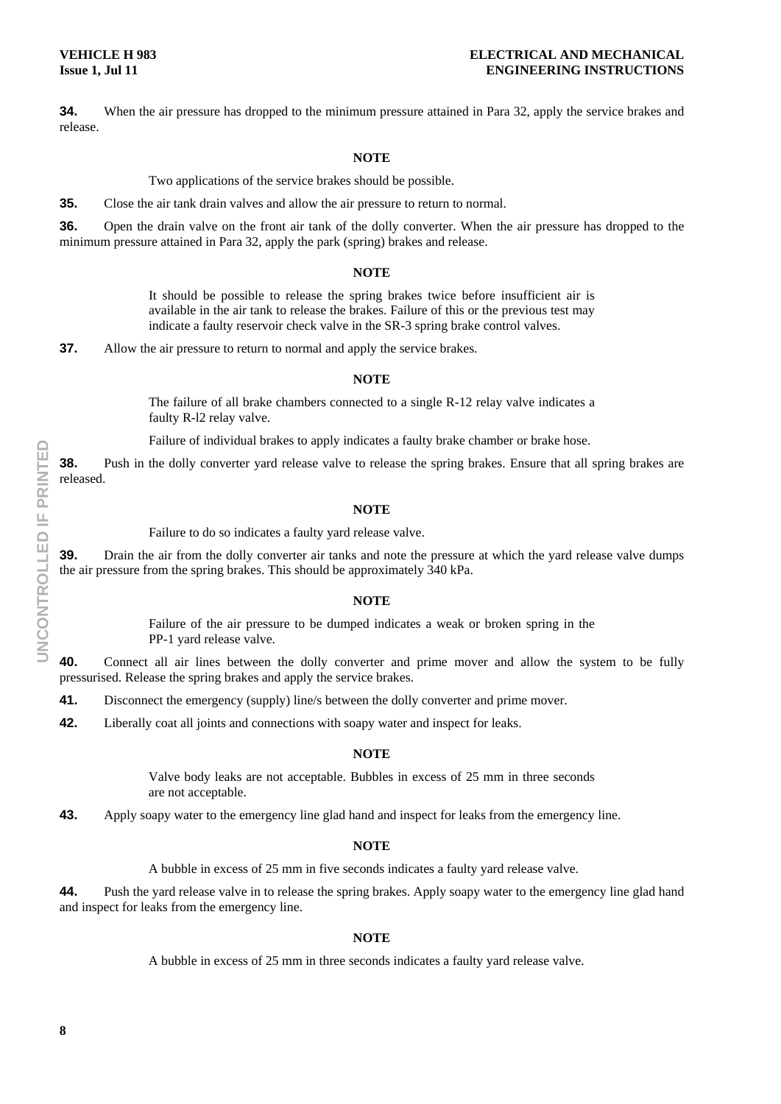#### **VEHICLE H 983 Issue 1, Jul 11**

#### **ELECTRICAL AND MECHANICAL ENGINEERING INSTRUCTIONS**

**34.** When the air pressure has dropped to the minimum pressure attained in Para 32, apply the service brakes and release.

#### **NOTE**

Two applications of the service brakes should be possible.

**35.** Close the air tank drain valves and allow the air pressure to return to normal.

**36.** Open the drain valve on the front air tank of the dolly converter. When the air pressure has dropped to the minimum pressure attained in Para 32, apply the park (spring) brakes and release.

#### **NOTE**

It should be possible to release the spring brakes twice before insufficient air is available in the air tank to release the brakes. Failure of this or the previous test may indicate a faulty reservoir check valve in the SR-3 spring brake control valves.

**37.** Allow the air pressure to return to normal and apply the service brakes.

#### **NOTE**

The failure of all brake chambers connected to a single R-12 relay valve indicates a faulty R-l2 relay valve.

Failure of individual brakes to apply indicates a faulty brake chamber or brake hose.

**38.** Push in the dolly converter yard release valve to release the spring brakes. Ensure that all spring brakes are released.

#### **NOTE**

Failure to do so indicates a faulty yard release valve.

**39.** Drain the air from the dolly converter air tanks and note the pressure at which the yard release valve dumps the air pressure from the spring brakes. This should be approximately 340 kPa.

#### **NOTE**

Failure of the air pressure to be dumped indicates a weak or broken spring in the PP-1 yard release valve.

**40.** Connect all air lines between the dolly converter and prime mover and allow the system to be fully pressurised. Release the spring brakes and apply the service brakes.

**41.** Disconnect the emergency (supply) line/s between the dolly converter and prime mover.

**42.** Liberally coat all joints and connections with soapy water and inspect for leaks.

#### **NOTE**

Valve body leaks are not acceptable. Bubbles in excess of 25 mm in three seconds are not acceptable.

**43.** Apply soapy water to the emergency line glad hand and inspect for leaks from the emergency line.

#### **NOTE**

A bubble in excess of 25 mm in five seconds indicates a faulty yard release valve.

**44.** Push the yard release valve in to release the spring brakes. Apply soapy water to the emergency line glad hand and inspect for leaks from the emergency line.

#### **NOTE**

A bubble in excess of 25 mm in three seconds indicates a faulty yard release valve.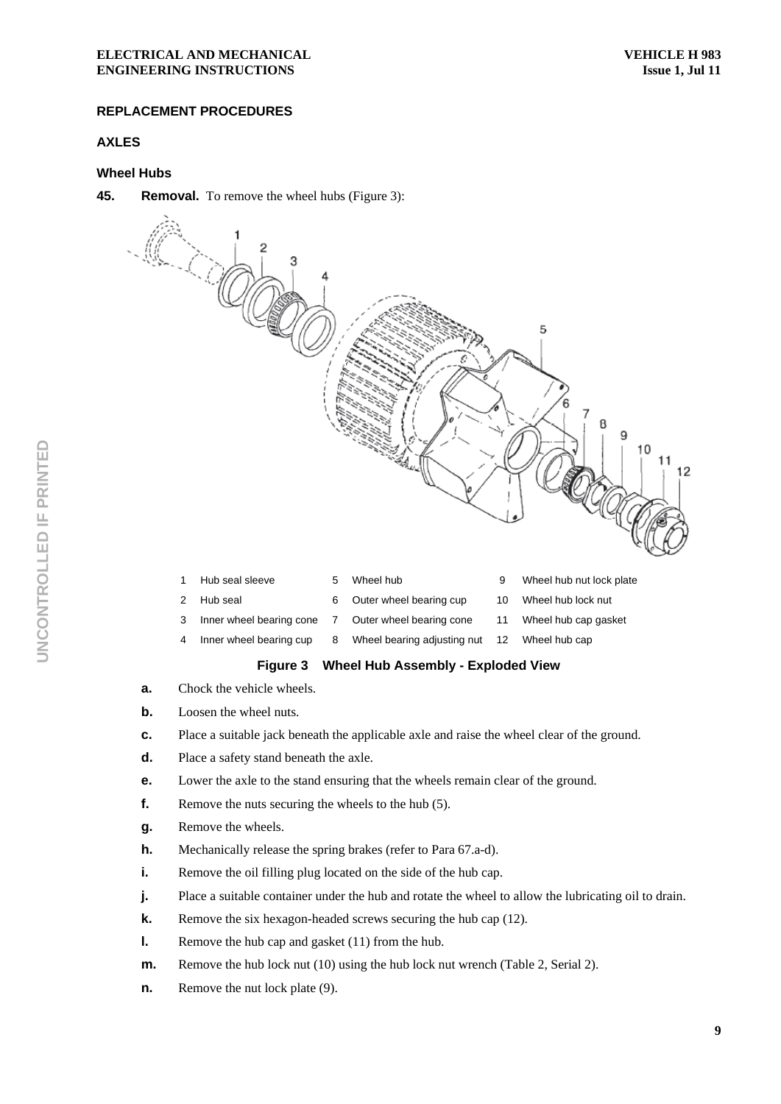#### **REPLACEMENT PROCEDURES**

#### **AXLES**

#### **Wheel Hubs**

**45.** Removal. To remove the wheel hubs (Figure 3):



**Figure 3 Wheel Hub Assembly - Exploded View** 

- **a.** Chock the vehicle wheels.
- **b.** Loosen the wheel nuts.
- **c.** Place a suitable jack beneath the applicable axle and raise the wheel clear of the ground.
- **d.** Place a safety stand beneath the axle.
- **e.** Lower the axle to the stand ensuring that the wheels remain clear of the ground.
- **f.** Remove the nuts securing the wheels to the hub (5).
- **g.** Remove the wheels.
- **h.** Mechanically release the spring brakes (refer to Para 67.a-d).
- **i.** Remove the oil filling plug located on the side of the hub cap.
- **j.** Place a suitable container under the hub and rotate the wheel to allow the lubricating oil to drain.
- **k.** Remove the six hexagon-headed screws securing the hub cap (12).
- **l.** Remove the hub cap and gasket (11) from the hub.
- **m.** Remove the hub lock nut (10) using the hub lock nut wrench (Table 2, Serial 2).
- **n.** Remove the nut lock plate (9).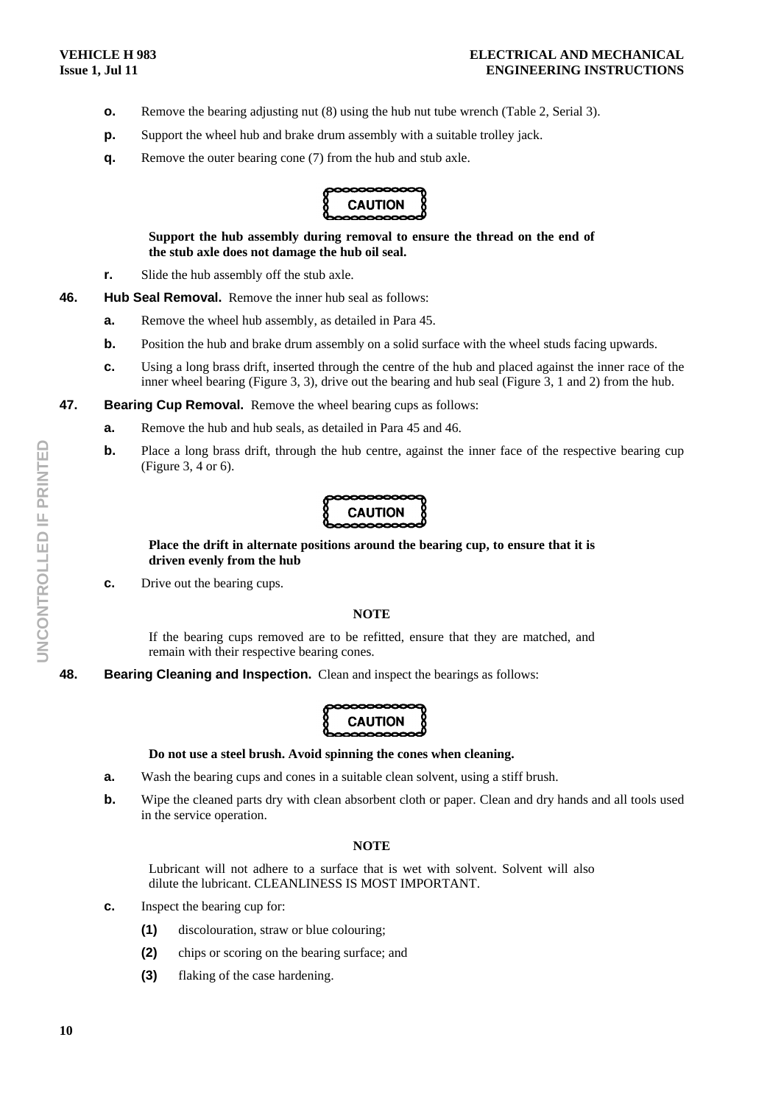- **o.** Remove the bearing adjusting nut (8) using the hub nut tube wrench (Table 2, Serial 3).
- **p.** Support the wheel hub and brake drum assembly with a suitable trolley jack.
- **q.** Remove the outer bearing cone (7) from the hub and stub axle.



**Support the hub assembly during removal to ensure the thread on the end of the stub axle does not damage the hub oil seal.** 

- **r.** Slide the hub assembly off the stub axle.
- **46. Hub Seal Removal.** Remove the inner hub seal as follows:
	- **a.** Remove the wheel hub assembly, as detailed in Para 45.
	- **b.** Position the hub and brake drum assembly on a solid surface with the wheel studs facing upwards.
	- **c.** Using a long brass drift, inserted through the centre of the hub and placed against the inner race of the inner wheel bearing (Figure 3, 3), drive out the bearing and hub seal (Figure 3, 1 and 2) from the hub.
- **47. Bearing Cup Removal.** Remove the wheel bearing cups as follows:
	- **a.** Remove the hub and hub seals, as detailed in Para 45 and 46.
	- **b.** Place a long brass drift, through the hub centre, against the inner face of the respective bearing cup (Figure 3, 4 or 6).



**Place the drift in alternate positions around the bearing cup, to ensure that it is driven evenly from the hub** 

**c.** Drive out the bearing cups.

#### **NOTE**

If the bearing cups removed are to be refitted, ensure that they are matched, and remain with their respective bearing cones.

**48. Bearing Cleaning and Inspection.** Clean and inspect the bearings as follows:



#### **Do not use a steel brush. Avoid spinning the cones when cleaning.**

- **a.** Wash the bearing cups and cones in a suitable clean solvent, using a stiff brush.
- **b.** Wipe the cleaned parts dry with clean absorbent cloth or paper. Clean and dry hands and all tools used in the service operation.

#### **NOTE**

Lubricant will not adhere to a surface that is wet with solvent. Solvent will also dilute the lubricant. CLEANLINESS IS MOST IMPORTANT.

- **c.** Inspect the bearing cup for:
	- **(1)** discolouration, straw or blue colouring;
	- **(2)** chips or scoring on the bearing surface; and
	- **(3)** flaking of the case hardening.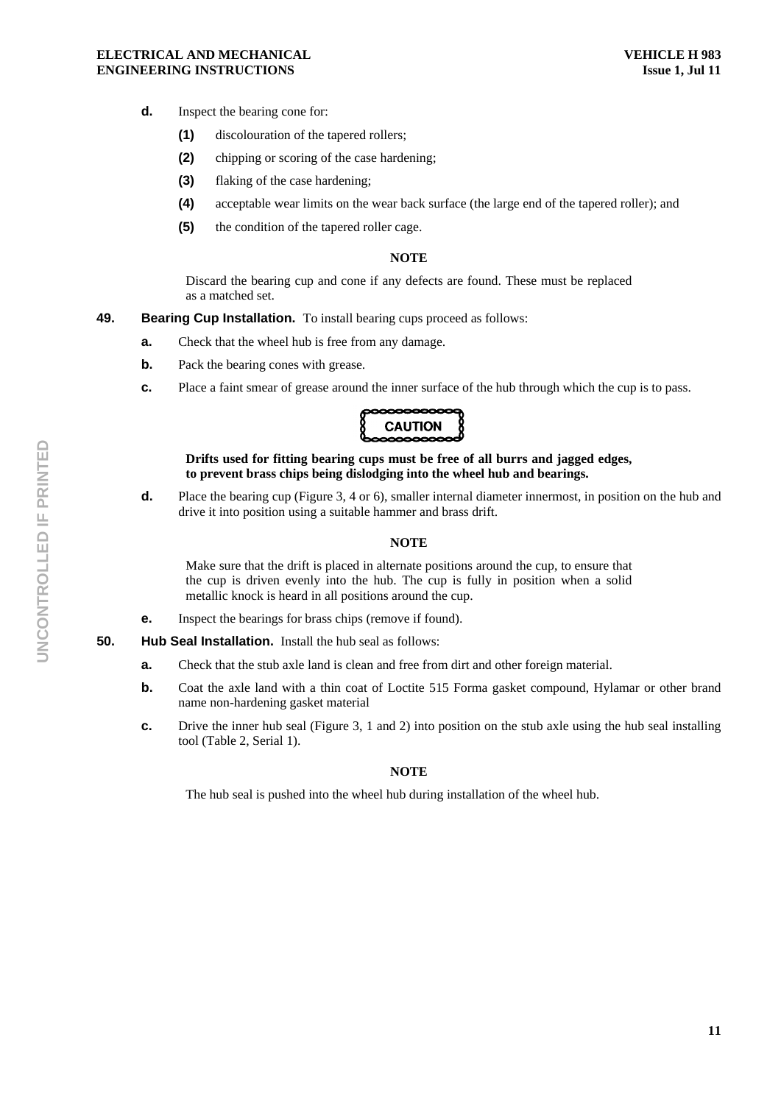- **d.** Inspect the bearing cone for:
	- **(1)** discolouration of the tapered rollers;
	- **(2)** chipping or scoring of the case hardening;
	- **(3)** flaking of the case hardening;
	- **(4)** acceptable wear limits on the wear back surface (the large end of the tapered roller); and
	- **(5)** the condition of the tapered roller cage.

#### **NOTE**

Discard the bearing cup and cone if any defects are found. These must be replaced as a matched set.

- **49. Bearing Cup Installation.** To install bearing cups proceed as follows:
	- **a.** Check that the wheel hub is free from any damage.
	- **b.** Pack the bearing cones with grease.
	- **c.** Place a faint smear of grease around the inner surface of the hub through which the cup is to pass.



**Drifts used for fitting bearing cups must be free of all burrs and jagged edges, to prevent brass chips being dislodging into the wheel hub and bearings.** 

**d.** Place the bearing cup (Figure 3, 4 or 6), smaller internal diameter innermost, in position on the hub and drive it into position using a suitable hammer and brass drift.

#### **NOTE**

Make sure that the drift is placed in alternate positions around the cup, to ensure that the cup is driven evenly into the hub. The cup is fully in position when a solid metallic knock is heard in all positions around the cup.

**e.** Inspect the bearings for brass chips (remove if found).

#### **50. Hub Seal Installation.** Install the hub seal as follows:

- **a.** Check that the stub axle land is clean and free from dirt and other foreign material.
- **b.** Coat the axle land with a thin coat of Loctite 515 Forma gasket compound, Hylamar or other brand name non-hardening gasket material
- **c.** Drive the inner hub seal (Figure 3, 1 and 2) into position on the stub axle using the hub seal installing tool (Table 2, Serial 1).

#### **NOTE**

The hub seal is pushed into the wheel hub during installation of the wheel hub.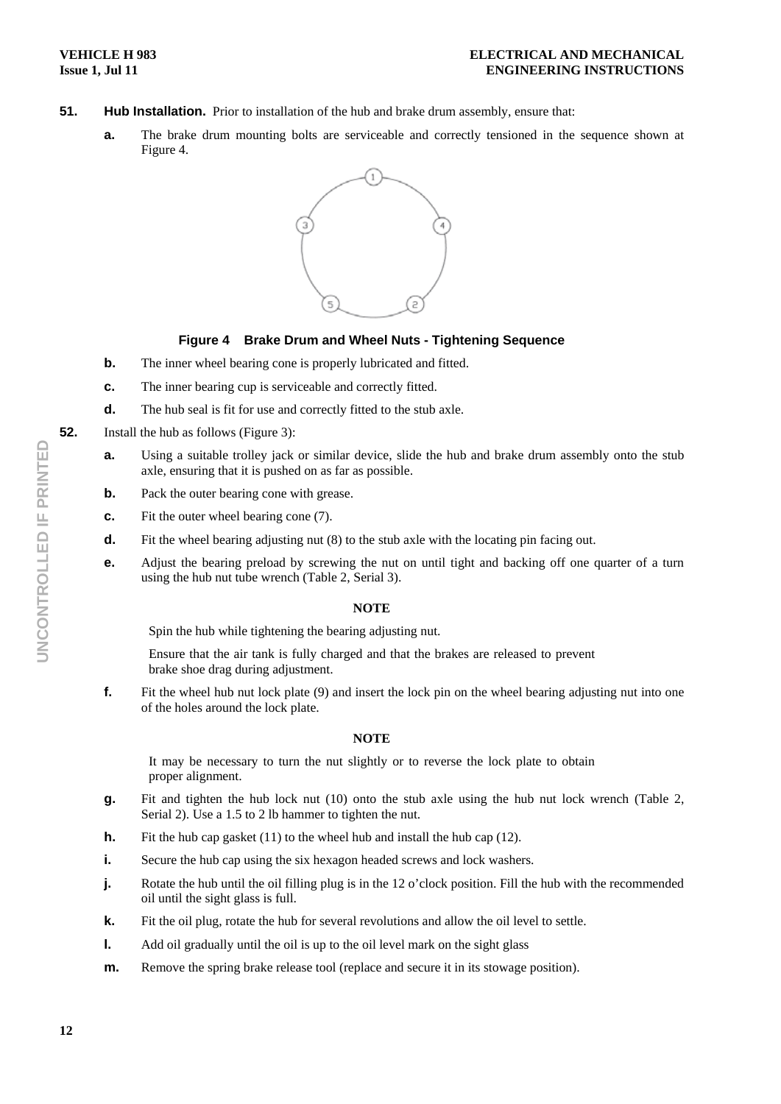#### **VEHICLE H 983 Issue 1, Jul 11**

#### **ELECTRICAL AND MECHANICAL ENGINEERING INSTRUCTIONS**

- **51.** Hub Installation. Prior to installation of the hub and brake drum assembly, ensure that:
	- **a.** The brake drum mounting bolts are serviceable and correctly tensioned in the sequence shown at Figure 4.



#### **Figure 4 Brake Drum and Wheel Nuts - Tightening Sequence**

- **b.** The inner wheel bearing cone is properly lubricated and fitted.
- **c.** The inner bearing cup is serviceable and correctly fitted.
- **d.** The hub seal is fit for use and correctly fitted to the stub axle.
- **52.** Install the hub as follows (Figure 3):
	- **a.** Using a suitable trolley jack or similar device, slide the hub and brake drum assembly onto the stub axle, ensuring that it is pushed on as far as possible.
	- **b.** Pack the outer bearing cone with grease.
	- **c.** Fit the outer wheel bearing cone (7).
	- **d.** Fit the wheel bearing adjusting nut (8) to the stub axle with the locating pin facing out.
	- **e.** Adjust the bearing preload by screwing the nut on until tight and backing off one quarter of a turn using the hub nut tube wrench (Table 2, Serial 3).

#### **NOTE**

Spin the hub while tightening the bearing adjusting nut.

Ensure that the air tank is fully charged and that the brakes are released to prevent brake shoe drag during adjustment.

**f.** Fit the wheel hub nut lock plate (9) and insert the lock pin on the wheel bearing adjusting nut into one of the holes around the lock plate.

#### **NOTE**

It may be necessary to turn the nut slightly or to reverse the lock plate to obtain proper alignment.

- **g.** Fit and tighten the hub lock nut (10) onto the stub axle using the hub nut lock wrench (Table 2, Serial 2). Use a 1.5 to 2 lb hammer to tighten the nut.
- **h.** Fit the hub cap gasket (11) to the wheel hub and install the hub cap (12).
- **i.** Secure the hub cap using the six hexagon headed screws and lock washers.
- **j.** Rotate the hub until the oil filling plug is in the 12 o'clock position. Fill the hub with the recommended oil until the sight glass is full.
- **k.** Fit the oil plug, rotate the hub for several revolutions and allow the oil level to settle.
- **l.** Add oil gradually until the oil is up to the oil level mark on the sight glass
- **m.** Remove the spring brake release tool (replace and secure it in its stowage position).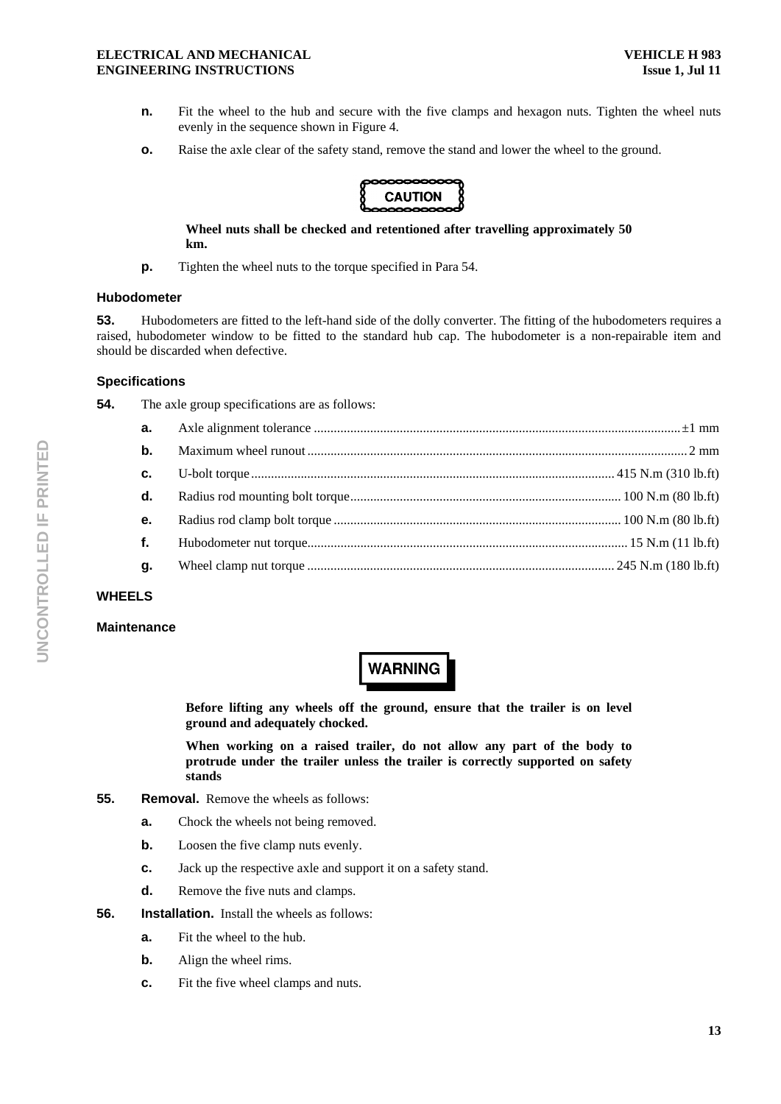- **n.** Fit the wheel to the hub and secure with the five clamps and hexagon nuts. Tighten the wheel nuts evenly in the sequence shown in Figure 4.
- **o.** Raise the axle clear of the safety stand, remove the stand and lower the wheel to the ground.



**Wheel nuts shall be checked and retentioned after travelling approximately 50 km.** 

**p.** Tighten the wheel nuts to the torque specified in Para 54.

#### **Hubodometer**

**53.** Hubodometers are fitted to the left-hand side of the dolly converter. The fitting of the hubodometers requires a raised, hubodometer window to be fitted to the standard hub cap. The hubodometer is a non-repairable item and should be discarded when defective.

#### **Specifications**

**54.** The axle group specifications are as follows:

| а.           |  |
|--------------|--|
| b.           |  |
| C.           |  |
| d.           |  |
| $e_{i}$      |  |
| $f_{\rm{r}}$ |  |
| <b>g.</b>    |  |
|              |  |

#### **WHEELS**

#### **Maintenance**

# **WARNING**

**Before lifting any wheels off the ground, ensure that the trailer is on level ground and adequately chocked.** 

**When working on a raised trailer, do not allow any part of the body to protrude under the trailer unless the trailer is correctly supported on safety stands** 

- **55. Removal.** Remove the wheels as follows:
	- **a.** Chock the wheels not being removed.
	- **b.** Loosen the five clamp nuts evenly.
	- **c.** Jack up the respective axle and support it on a safety stand.
	- **d.** Remove the five nuts and clamps.

#### **56. Installation.** Install the wheels as follows:

- **a.** Fit the wheel to the hub.
- **b.** Align the wheel rims.
- **c.** Fit the five wheel clamps and nuts.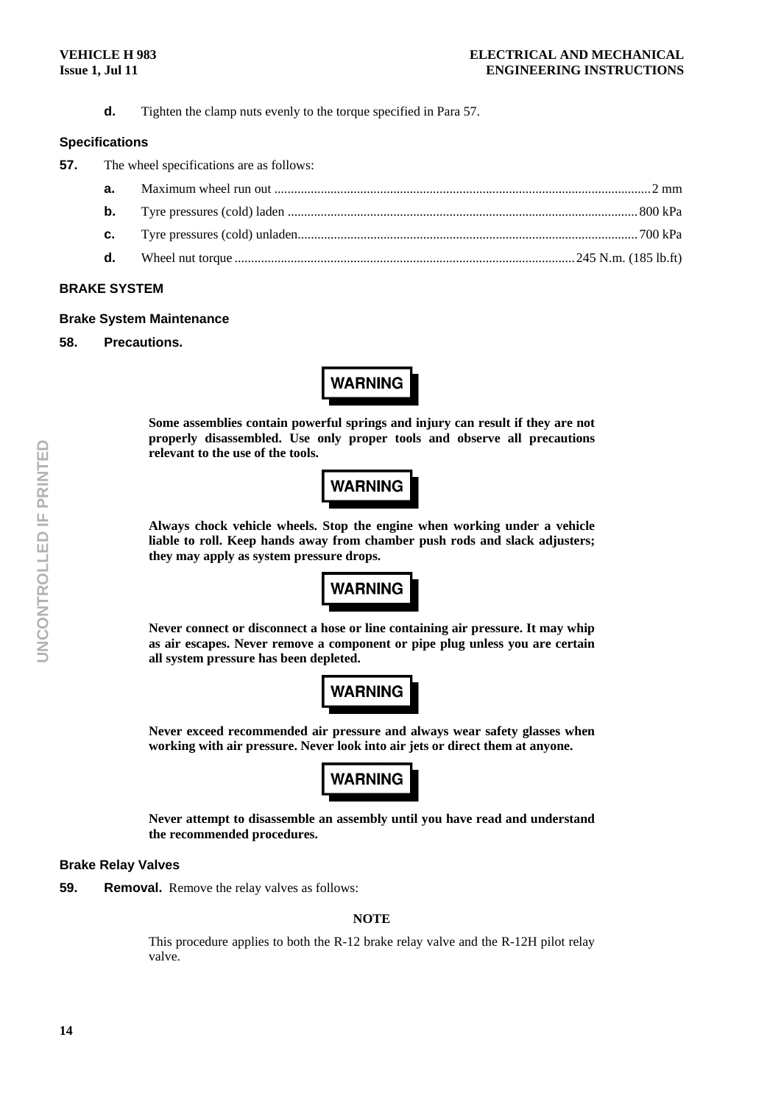**d.** Tighten the clamp nuts evenly to the torque specified in Para 57.

#### **Specifications**

**57.** The wheel specifications are as follows:

#### **BRAKE SYSTEM**

#### **Brake System Maintenance**

**58. Precautions.** 



**Some assemblies contain powerful springs and injury can result if they are not properly disassembled. Use only proper tools and observe all precautions relevant to the use of the tools.** 



**Always chock vehicle wheels. Stop the engine when working under a vehicle liable to roll. Keep hands away from chamber push rods and slack adjusters; they may apply as system pressure drops.** 



**Never connect or disconnect a hose or line containing air pressure. It may whip as air escapes. Never remove a component or pipe plug unless you are certain all system pressure has been depleted.** 



**Never exceed recommended air pressure and always wear safety glasses when working with air pressure. Never look into air jets or direct them at anyone.** 



**Never attempt to disassemble an assembly until you have read and understand the recommended procedures.** 

#### **Brake Relay Valves**

**59. Removal.** Remove the relay valves as follows:

#### **NOTE**

This procedure applies to both the R-12 brake relay valve and the R-12H pilot relay valve.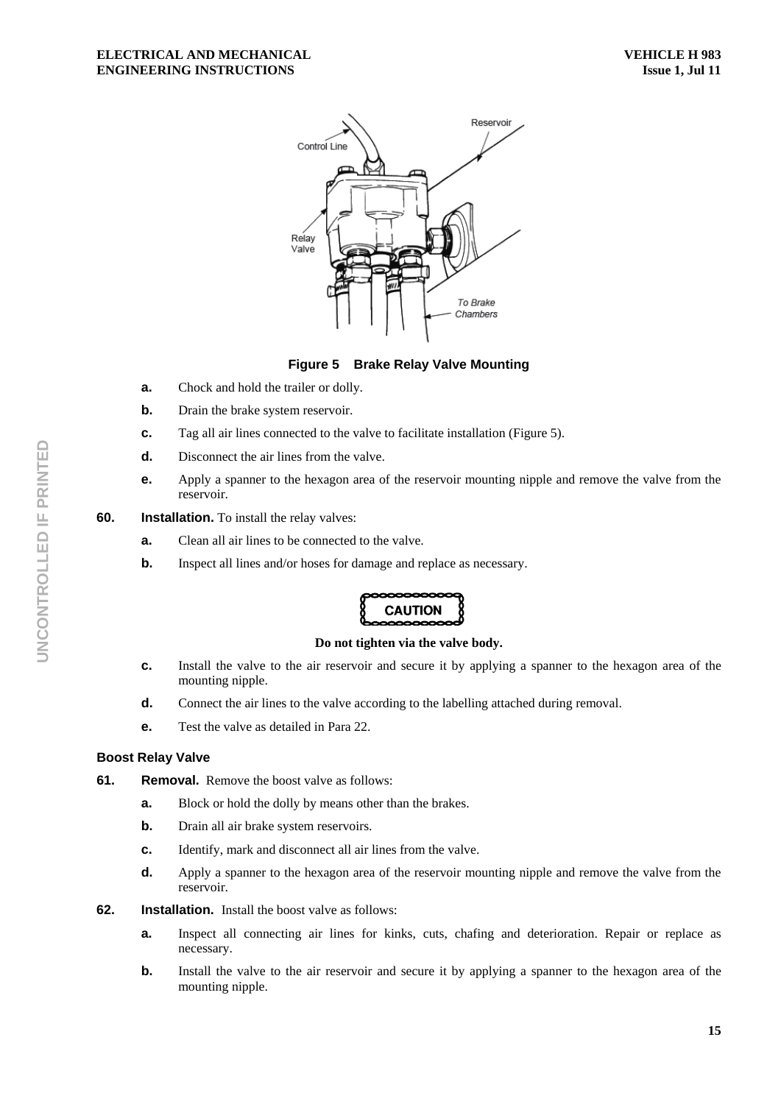

**Figure 5 Brake Relay Valve Mounting** 

- **a.** Chock and hold the trailer or dolly.
- **b.** Drain the brake system reservoir.
- **c.** Tag all air lines connected to the valve to facilitate installation (Figure 5).
- **d.** Disconnect the air lines from the valve.
- **e.** Apply a spanner to the hexagon area of the reservoir mounting nipple and remove the valve from the reservoir.

#### **60.** Installation. To install the relay valves:

- **a.** Clean all air lines to be connected to the valve.
- **b.** Inspect all lines and/or hoses for damage and replace as necessary.



#### **Do not tighten via the valve body.**

- **c.** Install the valve to the air reservoir and secure it by applying a spanner to the hexagon area of the mounting nipple.
- **d.** Connect the air lines to the valve according to the labelling attached during removal.
- **e.** Test the valve as detailed in Para 22.

#### **Boost Relay Valve**

- **61.** Removal. Remove the boost valve as follows:
	- **a.** Block or hold the dolly by means other than the brakes.
	- **b.** Drain all air brake system reservoirs.
	- **c.** Identify, mark and disconnect all air lines from the valve.
	- **d.** Apply a spanner to the hexagon area of the reservoir mounting nipple and remove the valve from the reservoir.
- **62. Installation.** Install the boost valve as follows:
	- **a.** Inspect all connecting air lines for kinks, cuts, chafing and deterioration. Repair or replace as necessary.
	- **b.** Install the valve to the air reservoir and secure it by applying a spanner to the hexagon area of the mounting nipple.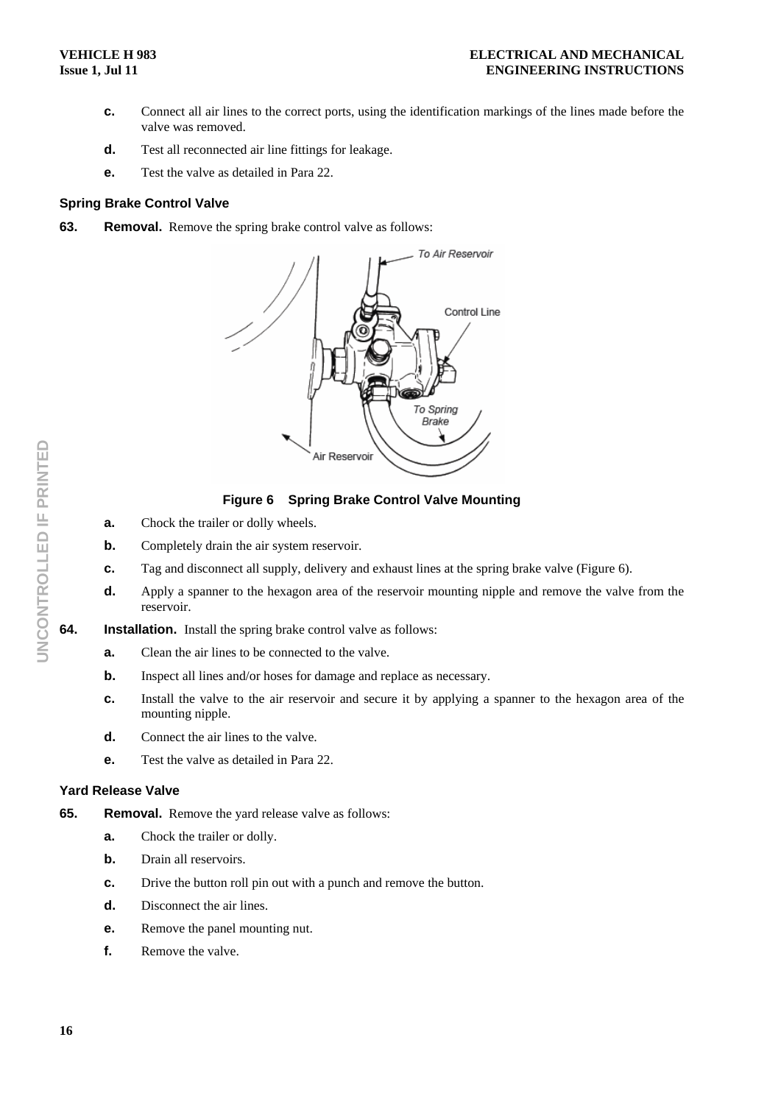- **c.** Connect all air lines to the correct ports, using the identification markings of the lines made before the valve was removed.
- **d.** Test all reconnected air line fittings for leakage.
- **e.** Test the valve as detailed in Para 22.

#### **Spring Brake Control Valve**

**63.** Removal. Remove the spring brake control valve as follows:



#### **Figure 6 Spring Brake Control Valve Mounting**

- **a.** Chock the trailer or dolly wheels.
- **b.** Completely drain the air system reservoir.
- **c.** Tag and disconnect all supply, delivery and exhaust lines at the spring brake valve (Figure 6).
- **d.** Apply a spanner to the hexagon area of the reservoir mounting nipple and remove the valve from the reservoir.
- **64. Installation.** Install the spring brake control valve as follows:
	- **a.** Clean the air lines to be connected to the valve.
	- **b.** Inspect all lines and/or hoses for damage and replace as necessary.
	- **c.** Install the valve to the air reservoir and secure it by applying a spanner to the hexagon area of the mounting nipple.
	- **d.** Connect the air lines to the valve.
	- **e.** Test the valve as detailed in Para 22.

#### **Yard Release Valve**

- **65.** Removal. Remove the yard release valve as follows:
	- **a.** Chock the trailer or dolly.
	- **b.** Drain all reservoirs.
	- **c.** Drive the button roll pin out with a punch and remove the button.
	- **d.** Disconnect the air lines.
	- **e.** Remove the panel mounting nut.
	- **f.** Remove the valve.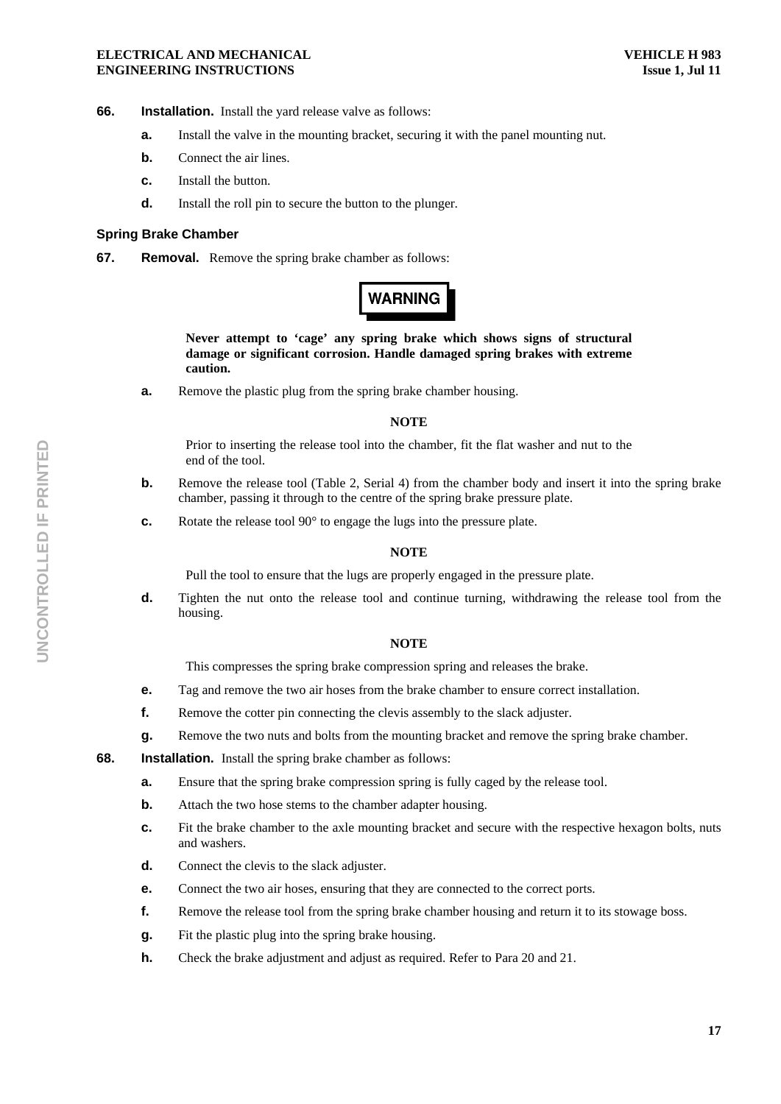- **66.** Installation. Install the yard release valve as follows:
	- **a.** Install the valve in the mounting bracket, securing it with the panel mounting nut.
	- **b.** Connect the air lines.
	- **c.** Install the button.
	- **d.** Install the roll pin to secure the button to the plunger.

#### **Spring Brake Chamber**

**67.** Removal. Remove the spring brake chamber as follows:

# **WARNING**

**Never attempt to 'cage' any spring brake which shows signs of structural damage or significant corrosion. Handle damaged spring brakes with extreme caution.** 

**a.** Remove the plastic plug from the spring brake chamber housing.

#### **NOTE**

Prior to inserting the release tool into the chamber, fit the flat washer and nut to the end of the tool.

- **b.** Remove the release tool (Table 2, Serial 4) from the chamber body and insert it into the spring brake chamber, passing it through to the centre of the spring brake pressure plate.
- **c.** Rotate the release tool 90° to engage the lugs into the pressure plate.

#### **NOTE**

Pull the tool to ensure that the lugs are properly engaged in the pressure plate.

**d.** Tighten the nut onto the release tool and continue turning, withdrawing the release tool from the housing.

#### **NOTE**

This compresses the spring brake compression spring and releases the brake.

- **e.** Tag and remove the two air hoses from the brake chamber to ensure correct installation.
- **f.** Remove the cotter pin connecting the clevis assembly to the slack adjuster.
- **g.** Remove the two nuts and bolts from the mounting bracket and remove the spring brake chamber.

**68.** Installation. Install the spring brake chamber as follows:

- **a.** Ensure that the spring brake compression spring is fully caged by the release tool.
- **b.** Attach the two hose stems to the chamber adapter housing.
- **c.** Fit the brake chamber to the axle mounting bracket and secure with the respective hexagon bolts, nuts and washers.
- **d.** Connect the clevis to the slack adjuster.
- **e.** Connect the two air hoses, ensuring that they are connected to the correct ports.
- **f.** Remove the release tool from the spring brake chamber housing and return it to its stowage boss.
- **g.** Fit the plastic plug into the spring brake housing.
- **h.** Check the brake adjustment and adjust as required. Refer to Para 20 and 21.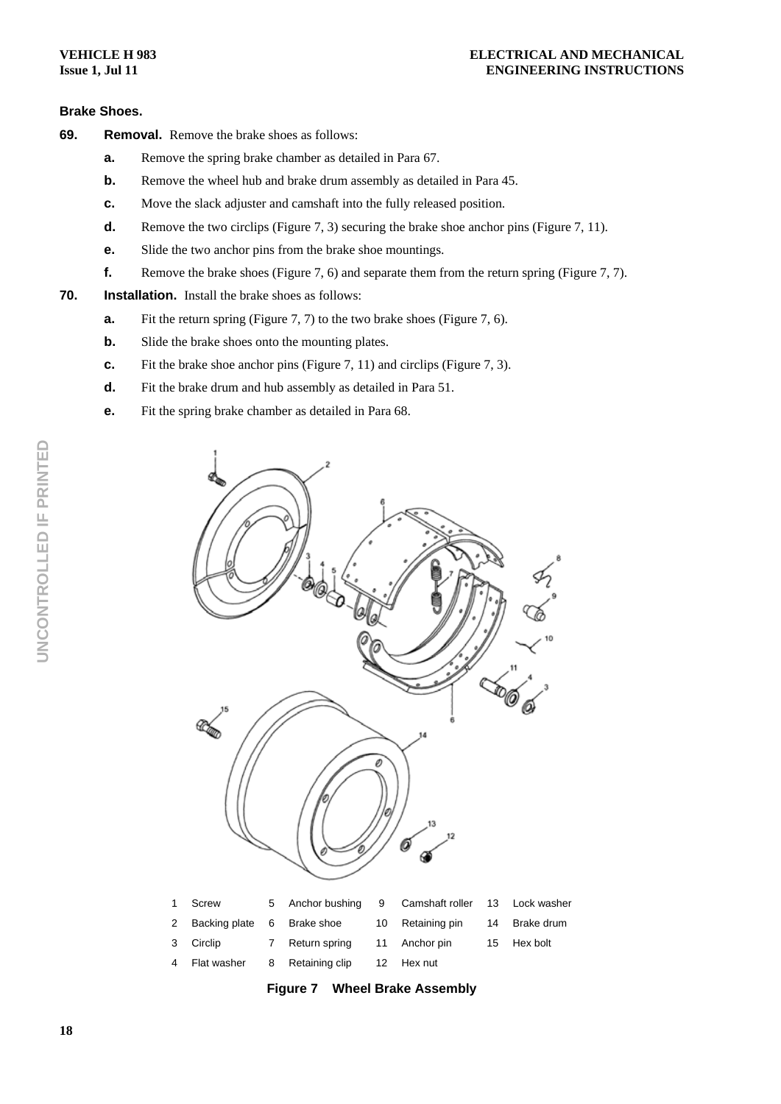#### **Brake Shoes.**

- **69. Removal.** Remove the brake shoes as follows:
	- **a.** Remove the spring brake chamber as detailed in Para 67.
	- **b.** Remove the wheel hub and brake drum assembly as detailed in Para 45.
	- **c.** Move the slack adjuster and camshaft into the fully released position.
	- **d.** Remove the two circlips (Figure 7, 3) securing the brake shoe anchor pins (Figure 7, 11).
	- **e.** Slide the two anchor pins from the brake shoe mountings.
	- **f.** Remove the brake shoes (Figure 7, 6) and separate them from the return spring (Figure 7, 7).
- **70. Installation.** Install the brake shoes as follows:
	- **a.** Fit the return spring (Figure 7, 7) to the two brake shoes (Figure 7, 6).
	- **b.** Slide the brake shoes onto the mounting plates.
	- **c.** Fit the brake shoe anchor pins (Figure 7, 11) and circlips (Figure 7, 3).
	- **d.** Fit the brake drum and hub assembly as detailed in Para 51.
	- **e.** Fit the spring brake chamber as detailed in Para 68.



**Figure 7 Wheel Brake Assembly**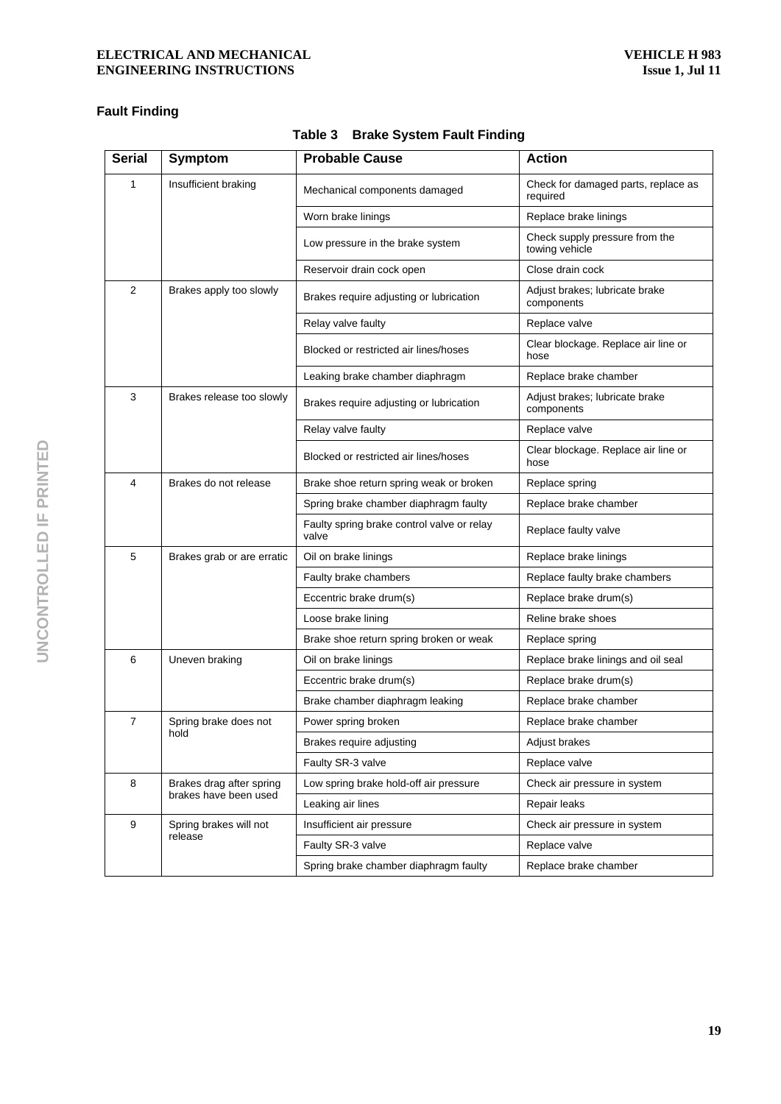#### **ELECTRICAL AND MECHANICAL ENGINEERING INSTRUCTIONS**

# **Fault Finding**

| <b>Serial</b>  | Symptom                           | <b>Probable Cause</b>                               | <b>Action</b>                                    |
|----------------|-----------------------------------|-----------------------------------------------------|--------------------------------------------------|
| 1              | Insufficient braking              | Mechanical components damaged                       | Check for damaged parts, replace as<br>required  |
|                |                                   | Worn brake linings                                  | Replace brake linings                            |
|                |                                   | Low pressure in the brake system                    | Check supply pressure from the<br>towing vehicle |
|                |                                   | Reservoir drain cock open                           | Close drain cock                                 |
| $\overline{2}$ | Brakes apply too slowly           | Brakes require adjusting or lubrication             | Adjust brakes; lubricate brake<br>components     |
|                |                                   | Relay valve faulty                                  | Replace valve                                    |
|                |                                   | Blocked or restricted air lines/hoses               | Clear blockage. Replace air line or<br>hose      |
|                |                                   | Leaking brake chamber diaphragm                     | Replace brake chamber                            |
| 3              | Brakes release too slowly         | Brakes require adjusting or lubrication             | Adjust brakes; lubricate brake<br>components     |
|                |                                   | Relay valve faulty                                  | Replace valve                                    |
|                |                                   | Blocked or restricted air lines/hoses               | Clear blockage. Replace air line or<br>hose      |
| 4              | Brakes do not release             | Brake shoe return spring weak or broken             | Replace spring                                   |
|                |                                   | Spring brake chamber diaphragm faulty               | Replace brake chamber                            |
|                |                                   | Faulty spring brake control valve or relay<br>valve | Replace faulty valve                             |
| 5              | Brakes grab or are erratic        | Oil on brake linings                                | Replace brake linings                            |
|                |                                   | Faulty brake chambers                               | Replace faulty brake chambers                    |
|                |                                   | Eccentric brake drum(s)                             | Replace brake drum(s)                            |
|                |                                   | Loose brake lining                                  | Reline brake shoes                               |
|                |                                   | Brake shoe return spring broken or weak             | Replace spring                                   |
| 6              | Uneven braking                    | Oil on brake linings                                | Replace brake linings and oil seal               |
|                |                                   | Eccentric brake drum(s)                             | Replace brake drum(s)                            |
|                |                                   | Brake chamber diaphragm leaking                     | Replace brake chamber                            |
| $\overline{7}$ | Spring brake does not             | Power spring broken                                 | Replace brake chamber                            |
|                | hold                              | Brakes require adjusting                            | Adjust brakes                                    |
|                |                                   | Faulty SR-3 valve                                   | Replace valve                                    |
| 8              | Brakes drag after spring          | Low spring brake hold-off air pressure              | Check air pressure in system                     |
|                | brakes have been used             | Leaking air lines                                   | Repair leaks                                     |
| 9              | Spring brakes will not<br>release | Insufficient air pressure                           | Check air pressure in system                     |
|                |                                   | Faulty SR-3 valve                                   | Replace valve                                    |
|                |                                   | Spring brake chamber diaphragm faulty               | Replace brake chamber                            |

### **Table 3 Brake System Fault Finding**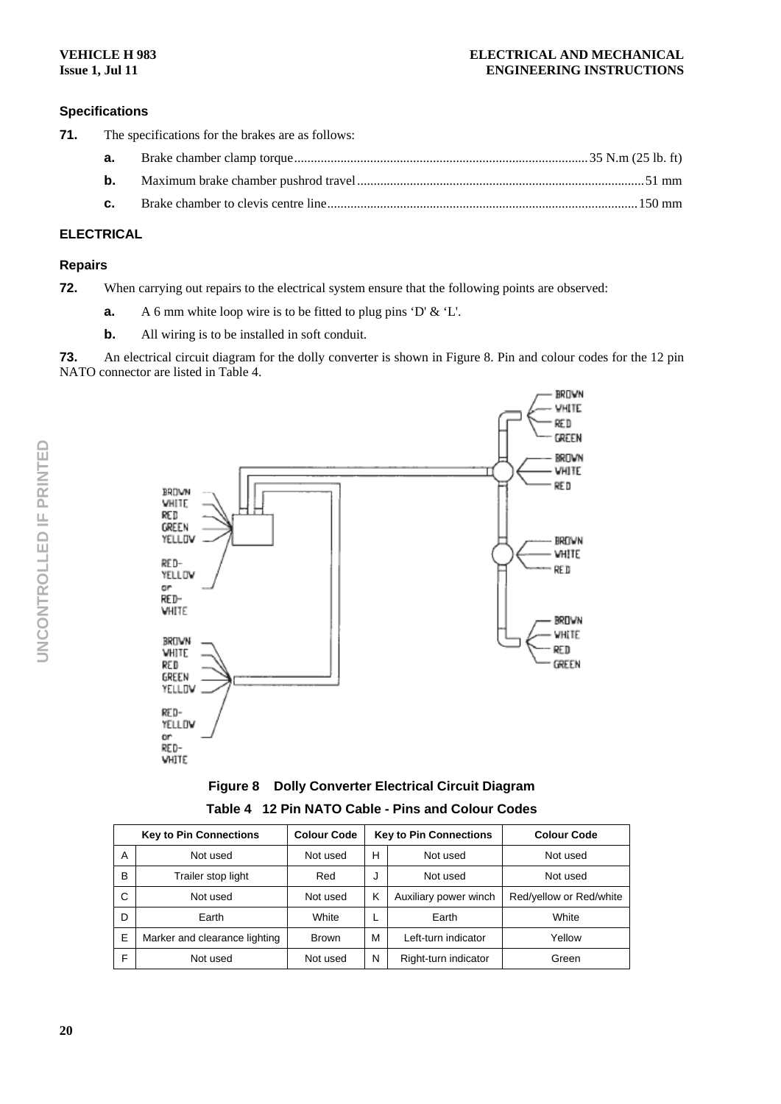#### **Specifications**

**71.** The specifications for the brakes are as follows:

#### **ELECTRICAL**

#### **Repairs**

**72.** When carrying out repairs to the electrical system ensure that the following points are observed:

- **a.** A 6 mm white loop wire is to be fitted to plug pins 'D' & 'L'.
- **b.** All wiring is to be installed in soft conduit.

**73.** An electrical circuit diagram for the dolly converter is shown in Figure 8. Pin and colour codes for the 12 pin NATO connector are listed in Table 4.





|   | <b>Key to Pin Connections</b> | <b>Colour Code</b> | <b>Key to Pin Connections</b> |                       | <b>Colour Code</b>      |
|---|-------------------------------|--------------------|-------------------------------|-----------------------|-------------------------|
| A | Not used                      | Not used           | н                             | Not used              | Not used                |
| B | Trailer stop light            | Red                | J                             | Not used              | Not used                |
| C | Not used                      | Not used           | Κ                             | Auxiliary power winch | Red/yellow or Red/white |
| D | Earth                         | White              |                               | Earth                 | White                   |
| E | Marker and clearance lighting | <b>Brown</b>       | M                             | Left-turn indicator   | Yellow                  |
| F | Not used                      | Not used           | N                             | Right-turn indicator  | Green                   |